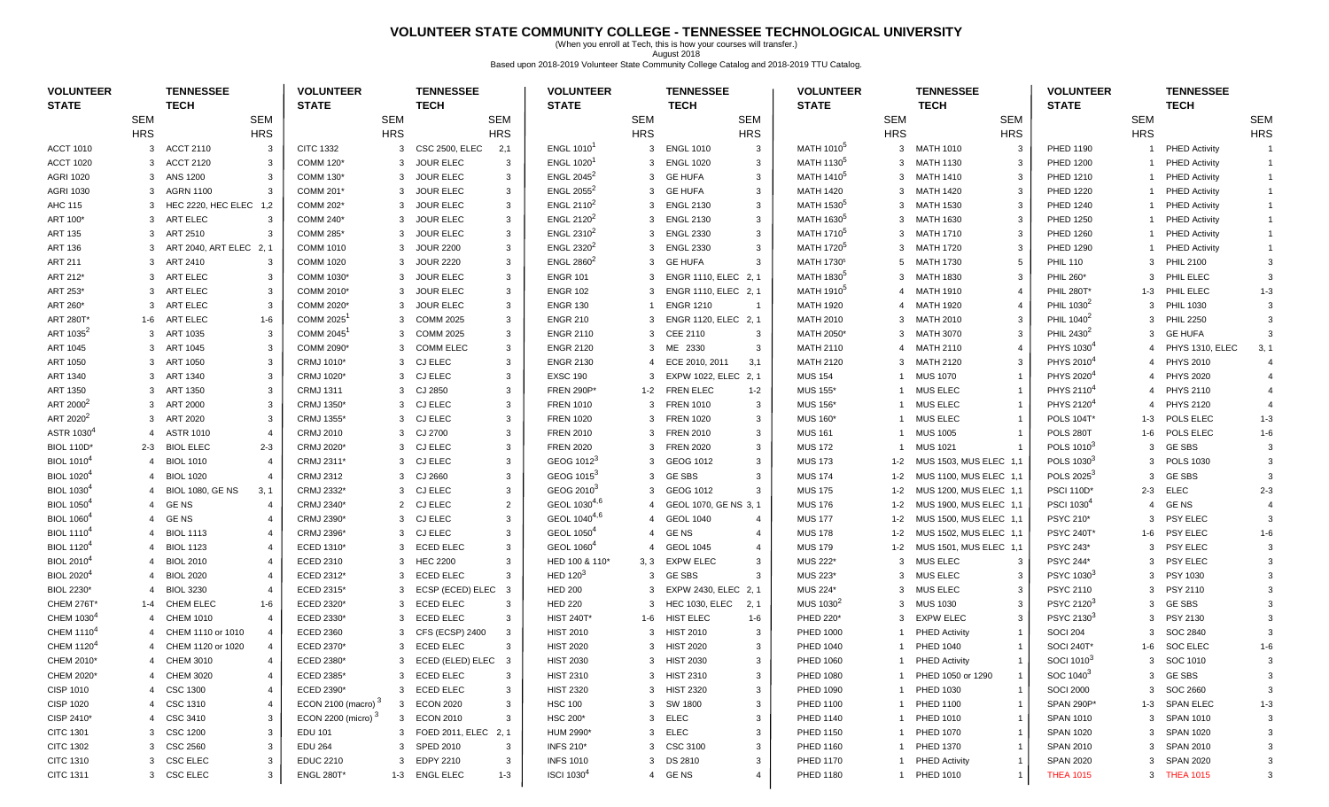## **VOLUNTEER STATE COMMUNITY COLLEGE - TENNESSEE TECHNOLOGICAL UNIVERSITY**

(When you enroll at Tech, this is how your courses will transfer.) August 2018 Based upon 2018-2019 Volunteer State Community College Catalog and 2018-2019 TTU Catalog.

| <b>VOLUNTEER</b><br><b>STATE</b> |                | <b>TENNESSEE</b><br><b>TECH</b>           | <b>VOLUNTEER</b><br><b>STATE</b> |                | <b>TENNESSEE</b><br><b>TECH</b> |                | <b>VOLUNTEER</b><br><b>STATE</b>                 |              | <b>TENNESSEE</b><br><b>TECH</b> |                | <b>VOLUNTEER</b><br><b>STATE</b>     |                | <b>TENNESSEE</b><br><b>TECH</b> |                | <b>VOLUNTEER</b><br><b>STATE</b> |                | <b>TENNESSEE</b><br><b>TECH</b> |                |
|----------------------------------|----------------|-------------------------------------------|----------------------------------|----------------|---------------------------------|----------------|--------------------------------------------------|--------------|---------------------------------|----------------|--------------------------------------|----------------|---------------------------------|----------------|----------------------------------|----------------|---------------------------------|----------------|
|                                  | <b>SEM</b>     | <b>SEM</b>                                |                                  | <b>SEM</b>     |                                 | <b>SEM</b>     |                                                  | <b>SEM</b>   |                                 | <b>SEM</b>     |                                      | <b>SEM</b>     |                                 | <b>SEM</b>     |                                  | <b>SEM</b>     |                                 | <b>SEM</b>     |
|                                  | <b>HRS</b>     | <b>HRS</b>                                |                                  | <b>HRS</b>     |                                 | <b>HRS</b>     |                                                  | <b>HRS</b>   |                                 | <b>HRS</b>     |                                      | <b>HRS</b>     |                                 | <b>HRS</b>     |                                  | <b>HRS</b>     |                                 | <b>HRS</b>     |
| <b>ACCT 1010</b>                 | 3              | <b>ACCT 2110</b><br>3                     | <b>CITC 1332</b>                 | 3              | <b>CSC 2500, ELEC</b>           | 2,1            | <b>ENGL 1010<sup>1</sup></b>                     | 3            | <b>ENGL 1010</b>                | 3              | MATH 1010 <sup>5</sup>               | 3              | MATH 1010                       | 3              | PHED 1190                        | -1             | <b>PHED Activity</b>            |                |
| <b>ACCT 1020</b>                 | 3              | <b>ACCT 2120</b><br>3                     | COMM 120*                        | 3              | <b>JOUR ELEC</b>                | $\mathbf{3}$   | <b>ENGL 1020<sup>1</sup></b>                     | 3            | <b>ENGL 1020</b>                | 3              | MATH 1130 <sup>5</sup>               | 3              | <b>MATH 1130</b>                | -3             | <b>PHED 1200</b>                 | $\overline{1}$ | <b>PHED Activity</b>            | $\overline{1}$ |
| <b>AGRI 1020</b>                 | 3              | ANS 1200<br>3                             | COMM 130*                        | 3              | <b>JOUR ELEC</b>                | 3              | ENGL 2045 $2$                                    |              | 3 GE HUFA                       | 3              | MATH 1410 <sup>5</sup>               |                | 3 MATH 1410                     | 3              | <b>PHED 1210</b>                 | $\overline{1}$ | <b>PHED Activity</b>            | $\overline{1}$ |
| <b>AGRI 1030</b>                 | 3              | AGRN 1100<br>3                            | COMM 201*                        | 3              | <b>JOUR ELEC</b>                | 3              | ENGL $2055^2$                                    |              | 3 GE HUFA                       | 3              | <b>MATH 1420</b>                     | 3              | MATH 1420                       | -3             | <b>PHED 1220</b>                 | -1             | <b>PHED Activity</b>            |                |
| AHC 115                          | 3              | HEC 2220, HEC ELEC 1,2                    | <b>COMM 202*</b>                 | 3              | <b>JOUR ELEC</b>                | 3              | <b>ENGL 2110<sup>2</sup></b>                     | 3            | <b>ENGL 2130</b>                | 3              | MATH 1530 <sup>5</sup>               | 3              | MATH 1530                       | 3              | <b>PHED 1240</b>                 | $\mathbf 1$    | <b>PHED Activity</b>            |                |
| ART 100*                         | 3              | ART ELEC<br>3                             | <b>COMM 240*</b>                 | 3              | <b>JOUR ELEC</b>                | 3              | <b>ENGL 2120<sup>2</sup></b>                     | 3            | <b>ENGL 2130</b>                | 3              | MATH 1630 <sup>5</sup>               | 3              | MATH 1630                       | 3              | PHED 1250                        |                | <b>PHED Activity</b>            | $\mathbf{1}$   |
| <b>ART 135</b>                   | 3              | ART 2510<br>-3                            | <b>COMM 285*</b>                 | 3              | <b>JOUR ELEC</b>                | 3              | ENGL $2310^2$                                    | $\mathbf{3}$ | <b>ENGL 2330</b>                | 3              | MATH 1710 <sup>5</sup>               |                | 3 MATH 1710                     | 3              | PHED 1260                        | $\overline{1}$ | <b>PHED Activity</b>            | $\overline{1}$ |
| <b>ART 136</b>                   | 3              | ART 2040, ART ELEC 2, 1                   | <b>COMM 1010</b>                 | 3              | <b>JOUR 2200</b>                | 3              | <b>ENGL 2320<sup>2</sup></b>                     |              | 3 ENGL 2330                     | 3              | MATH 1720 <sup>5</sup>               |                | 3 MATH 1720                     | 3              | <b>PHED 1290</b>                 | $\overline{1}$ | <b>PHED Activity</b>            |                |
| <b>ART 211</b>                   |                | 3 ART 2410<br>3                           | <b>COMM 1020</b>                 | 3              | <b>JOUR 2220</b>                | 3              | ENGL 2860 <sup>2</sup>                           |              | 3 GE HUFA                       | 3              | MATH 1730 <sup>5</sup>               |                | 5 MATH 1730                     | 5              | <b>PHIL 110</b>                  | 3              | <b>PHIL 2100</b>                |                |
| ART 212*                         | 3              | ART ELEC<br>3                             | COMM 1030*                       | 3              | <b>JOUR ELEC</b>                | 3              | <b>ENGR 101</b>                                  | 3            | ENGR 1110, ELEC 2, 1            |                | MATH 1830 <sup>5</sup>               | 3              | MATH 1830                       | -3             | PHIL 260*                        | 3              | PHIL ELEC                       |                |
| ART 253*                         | 3              | ART ELEC<br>3                             | COMM 2010*                       | 3              | <b>JOUR ELEC</b>                | 3              | <b>ENGR 102</b>                                  |              | ENGR 1110, ELEC 2, 1            |                | MATH 1910 <sup>5</sup>               | 4              | <b>MATH 1910</b>                | $\overline{4}$ | <b>PHIL 280T*</b>                | 1-3            | PHIL ELEC                       | $1 - 3$        |
| ART 260*                         | 3              | <b>ART ELEC</b><br>3                      | COMM 2020*                       | 3              | <b>JOUR ELEC</b>                | 3              | <b>ENGR 130</b>                                  |              | <b>ENGR 1210</b>                | $\overline{1}$ | <b>MATH 1920</b>                     | $\overline{4}$ | MATH 1920                       |                | PHIL 1030 <sup>2</sup>           | 3              | <b>PHIL 1030</b>                |                |
| ART 280T*                        | 1-6            | ART ELEC<br>$1 - 6$                       | COMM 2025 <sup>1</sup>           | 3              | COMM 2025                       | 3              | <b>ENGR 210</b>                                  |              | ENGR 1120, ELEC 2, 1            |                | <b>MATH 2010</b>                     |                | 3 MATH 2010                     | 3              | PHIL 1040 <sup>2</sup>           | 3              | <b>PHIL 2250</b>                |                |
| ART 1035 <sup>2</sup>            | 3              | ART 1035<br>3                             | COMM 2045 <sup>1</sup>           | 3              | COMM 2025                       | 3              | <b>ENGR 2110</b>                                 |              | 3 CEE 2110                      | 3              | MATH 2050*                           |                | 3 MATH 3070                     | 3              | PHIL 2430 <sup>2</sup>           | 3              | <b>GE HUFA</b>                  |                |
| ART 1045                         | 3              | ART 1045<br>3                             | COMM 2090*                       | 3              | <b>COMM ELEC</b>                | 3              | <b>ENGR 2120</b>                                 | 3            | ME 2330                         | 3              | <b>MATH 2110</b>                     | 4              | MATH 2110                       |                | PHYS 1030 <sup>4</sup>           | $\overline{4}$ | PHYS 1310, ELEC                 | 3, 1           |
| ART 1050                         | 3              | ART 1050<br>3                             | CRMJ 1010*                       | 3              | <b>CJ ELEC</b>                  | 3              | <b>ENGR 2130</b>                                 | 4            | ECE 2010, 2011                  | 3,1            | <b>MATH 2120</b>                     | 3              | <b>MATH 2120</b>                | 3              | PHYS 2010 <sup>4</sup>           | $\overline{4}$ | <b>PHYS 2010</b>                |                |
| ART 1340                         | 3              | ART 1340<br>3                             | CRMJ 1020*                       | 3              | <b>CJ ELEC</b>                  | 3              | <b>EXSC 190</b>                                  | 3            | EXPW 1022, ELEC 2, 1            |                | <b>MUS 154</b>                       |                | <b>MUS 1070</b>                 |                | PHYS 2020                        | 4              | <b>PHYS 2020</b>                |                |
| ART 1350                         | 3              | ART 1350<br>3                             | <b>CRMJ 1311</b>                 |                | 3 CJ 2850                       | 3              | <b>FREN 290P*</b>                                |              | 1-2 FREN ELEC                   | 1-2            | <b>MUS 155</b>                       |                | 1 MUS ELEC                      |                | PHYS 2110 <sup>4</sup>           |                | 4 PHYS 2110                     |                |
| ART 2000 <sup>2</sup>            |                | 3 ART 2000<br>3                           | CRMJ 1350*                       |                | 3 CJ ELEC                       | 3              | <b>FREN 1010</b>                                 |              | 3 FREN 1010                     | 3              | <b>MUS 156*</b>                      | -1             | MUS ELEC                        |                | PHYS 2120 <sup>4</sup>           | $\overline{4}$ | <b>PHYS 2120</b>                |                |
| ART 2020 <sup>2</sup>            | 3              | ART 2020<br>3                             | CRMJ 1355*                       |                | 3 CJ ELEC                       | 3              | <b>FREN 1020</b>                                 | 3            | <b>FREN 1020</b>                | 3              | <b>MUS 160*</b>                      |                | <b>MUS ELEC</b>                 |                | POLS 104T                        | 1-3            | POLS ELEC                       | $1 - 3$        |
| ASTR 1030 <sup>4</sup>           | 4              | <b>ASTR 1010</b><br>$\overline{4}$        | <b>CRMJ 2010</b>                 | 3              | CJ 2700                         | 3              | <b>FREN 2010</b>                                 | 3            | <b>FREN 2010</b>                | 3              | <b>MUS 161</b>                       |                | <b>MUS 1005</b>                 |                | POLS 280T                        | 1-6            | POLS ELEC                       | $1 - 6$        |
| <b>BIOL 110D*</b>                | $2 - 3$        | <b>BIOL ELEC</b><br>$2 - 3$               | CRMJ 2020*                       | 3              | CJ ELEC                         | 3              | <b>FREN 2020</b>                                 |              | 3 FREN 2020                     | 3              | <b>MUS 172</b>                       |                | <b>MUS 1021</b>                 |                | POLS 1010 <sup>3</sup>           | 3              | <b>GE SBS</b>                   |                |
| <b>BIOL 1010<sup>4</sup></b>     | $\overline{4}$ | <b>BIOL 1010</b><br>$\boldsymbol{\Delta}$ | CRMJ 2311*                       |                | 3 CJ ELEC                       | 3              | GEOG 1012 <sup>3</sup>                           |              | 3 GEOG 1012                     | 3              | <b>MUS 173</b>                       | $1 - 2$        | MUS 1503, MUS ELEC 1,1          |                | POLS 1030 <sup>3</sup>           | 3              | <b>POLS 1030</b>                |                |
| <b>BIOL 1020<sup>4</sup></b>     | 4              | <b>BIOL 1020</b><br>$\overline{4}$        | <b>CRMJ 2312</b>                 |                | 3 CJ 2660                       | 3              | GEOG 1015 <sup>3</sup>                           |              | 3 GESBS                         | 3              | <b>MUS 174</b>                       | $1 - 2$        | MUS 1100, MUS ELEC 1,1          |                | POLS 2025 <sup>3</sup>           | 3              | <b>GE SBS</b>                   |                |
| <b>BIOL 1030</b> <sup>4</sup>    | 4              | <b>BIOL 1080, GE NS</b><br>3, 1           | CRMJ 2332*                       |                | 3 CJ ELEC                       | 3              | GEOG 2010 <sup>3</sup>                           |              | 3 GEOG 1012                     | 3              | <b>MUS 175</b>                       | $1 - 2$        | MUS 1200, MUS ELEC 1,1          |                | <b>PSCI 110D*</b>                | 2-3            | <b>ELEC</b>                     | $2 - 3$        |
| <b>BIOL 1050</b> <sup>4</sup>    | $\overline{4}$ | <b>GENS</b><br>4                          | CRMJ 2340*                       | $\overline{2}$ | CJ ELEC                         | $\overline{2}$ | GEOL 1030 <sup>4,6</sup>                         |              | GEOL 1070, GE NS 3, 1           |                | <b>MUS 176</b>                       | $1 - 2$        | MUS 1900, MUS ELEC 1,1          |                | PSCI 1030 <sup>4</sup>           | $\overline{4}$ | <b>GENS</b>                     |                |
| <b>BIOL 1060<sup>4</sup></b>     | $\overline{4}$ | <b>GENS</b><br>$\boldsymbol{4}$           | CRMJ 2390*                       | 3              | CJ ELEC                         | 3              | GEOL 1040 <sup>4,6</sup>                         |              | 4 GEOL 1040                     | $\overline{4}$ | <b>MUS 177</b>                       | $1 - 2$        | MUS 1500, MUS ELEC 1,1          |                | PSYC 210*                        | 3              | <b>PSY ELEC</b>                 |                |
| <b>BIOL 1110<sup>4</sup></b>     | $\overline{4}$ | <b>BIOL 1113</b><br>$\overline{4}$        | CRMJ 2396*                       |                | 3 CJ ELEC                       | 3              | GEOL 1050 <sup>4</sup>                           |              | 4 GENS                          | $\overline{4}$ | <b>MUS 178</b>                       | $1 - 2$        | MUS 1502, MUS ELEC 1,1          |                | <b>PSYC 240T*</b>                |                | 1-6 PSY ELEC                    | $1 - 6$        |
| <b>BIOL 1120<sup>4</sup></b>     | 4              | <b>BIOL 1123</b><br>4                     | ECED 1310*                       | 3              | <b>ECED ELEC</b>                | 3              | GEOL 1060 <sup>4</sup>                           |              | <b>GEOL 1045</b>                | $\overline{4}$ | <b>MUS 179</b>                       | $1 - 2$        | MUS 1501, MUS ELEC 1,1          |                | PSYC 243*                        | 3              | <b>PSY ELEC</b>                 |                |
| <b>BIOL 2010<sup>4</sup></b>     | 4              | <b>BIOL 2010</b><br>$\overline{4}$        | ECED 2310                        | 3              | <b>HEC 2200</b>                 | 3              | HED 100 & 110*                                   | 3, 3         | EXPW ELEC                       | 3              | MUS 222*                             | 3              | MUS ELEC                        | $\mathbf{3}$   | <b>PSYC 244*</b>                 | 3              | <b>PSY ELEC</b>                 |                |
| <b>BIOL 2020<sup>4</sup></b>     | 4              | <b>BIOL 2020</b><br>4                     | ECED 2312*                       | 3              | <b>ECED ELEC</b>                | 3              | HED $1203$                                       |              | 3 GESBS                         | 3              | MUS 223*                             | 3              | <b>MUS ELEC</b>                 | 3              | PSYC 1030 <sup>3</sup>           | 3              | PSY 1030                        |                |
| BIOL 2230*                       |                | <b>BIOL 3230</b><br>$\boldsymbol{\Delta}$ | ECED 2315*                       | 3              | ECSP (ECED) ELEC                | $\mathbf{3}$   | <b>HED 200</b>                                   |              | EXPW 2430, ELEC 2, 1            |                | MUS 224*                             | 3              | <b>MUS ELEC</b>                 | 3              | <b>PSYC 2110</b>                 | 3              | <b>PSY 2110</b>                 |                |
| <b>CHEM 276T*</b>                | 1-4            | <b>CHEM ELEC</b><br>$1 - 6$               | ECED 2320*                       | 3              | <b>ECED ELEC</b>                | 3              | <b>HED 220</b>                                   |              | 3 HEC 1030, ELEC                | 2, 1           | MUS 1030 <sup>2</sup>                |                | 3 MUS 1030                      |                | PSYC 2120 <sup>3</sup>           | 3              | GE SBS                          |                |
| CHEM 1030 <sup>4</sup>           | 4              | <b>CHEM 1010</b><br>$\boldsymbol{\Delta}$ | ECED 2330*                       | 3              | <b>ECED ELEC</b>                | 3              | <b>HIST 240T*</b>                                |              | 1-6 HIST ELEC                   | $1 - 6$        | PHED 220*                            |                | 3 EXPW ELEC                     | 3              | PSYC 2130 <sup>3</sup>           | 3              | <b>PSY 2130</b>                 |                |
| CHEM 1110 <sup>4</sup>           |                | CHEM 1110 or 1010<br>4                    | <b>ECED 2360</b>                 | 3              | CFS (ECSP) 2400                 | 3              | <b>HIST 2010</b>                                 |              | 3 HIST 2010                     | 3              | PHED 1000                            |                | <b>PHED Activity</b>            |                | <b>SOCI 204</b>                  | 3              | SOC 2840                        |                |
| CHEM 1120 <sup>4</sup>           |                | CHEM 1120 or 1020<br>4                    | ECED 2370*                       | 3              | <b>ECED ELEC</b>                | 3              | <b>HIST 2020</b>                                 |              | 3 HIST 2020                     | 3              | PHED 1040                            |                | PHED 1040                       |                | <b>SOCI 240T*</b>                | 1-6            | <b>SOC ELEC</b>                 | $1 - 6$        |
| CHEM 2010*                       |                | 4 CHEM 3010<br>$\overline{4}$             | ECED 2380*                       |                | 3 ECED (ELED) ELEC 3            |                | <b>HIST 2030</b>                                 |              | 3 HIST 2030                     | 3              | PHED 1060                            |                | 1 PHED Activity                 |                | SOCI 1010 <sup>3</sup>           |                | 3 SOC 1010                      | 3              |
| CHEM 2020*                       | 4              | CHEM 3020<br>$\overline{4}$               | ECED 2385*                       |                | 3 ECED ELEC                     | 3              | <b>HIST 2310</b>                                 |              | 3 HIST 2310                     | 3              | PHED 1080                            |                | 1 PHED 1050 or 1290             | -1             | SOC 1040 <sup>3</sup>            |                | 3 GESBS                         |                |
| CISP 1010                        |                | 4 CSC 1300<br>4                           | ECED 2390*                       |                | 3 ECED ELEC                     | 3              | <b>HIST 2320</b>                                 |              | 3 HIST 2320                     | 3              | PHED 1090                            |                | 1 PHED 1030                     | $\mathbf 1$    | <b>SOCI 2000</b>                 | $\mathbf{3}$   | SOC 2660                        |                |
| <b>CISP 1020</b>                 |                | 4 CSC 1310<br>4                           | ECON 2100 (macro) $3$            |                | 3 ECON 2020                     | 3              | <b>HSC 100</b>                                   |              | 3 SW 1800                       | 3              | PHED 1100                            | 1              | <b>PHED 1100</b>                |                | SPAN 290P*                       |                | 1-3 SPAN ELEC                   | $1 - 3$        |
| CISP 2410*                       | $\overline{4}$ | CSC 3410<br>3                             | ECON 2200 (micro) 3              |                | 3 ECON 2010                     | 3              | <b>HSC 200*</b>                                  |              | 3 ELEC                          | 3              | <b>PHED 1140</b>                     | 1              | <b>PHED 1010</b>                |                | <b>SPAN 1010</b>                 | 3              | SPAN 1010                       |                |
| <b>CITC 1301</b>                 | 3              | <b>CSC 1200</b><br>3                      | <b>EDU 101</b>                   |                | 3 FOED 2011, ELEC               |                | HUM 2990'                                        |              | 3 ELEC                          | 3              | PHED 1150                            |                | 1 PHED 1070                     |                | <b>SPAN 1020</b>                 | 3              | <b>SPAN 1020</b>                |                |
| <b>CITC 1302</b>                 |                | 3                                         | <b>EDU 264</b>                   |                | 3 SPED 2010                     | 2, 1<br>3      | <b>INFS 210*</b>                                 |              |                                 | 3              | PHED 1160                            |                | 1 PHED 1370                     |                | <b>SPAN 2010</b>                 |                | 3 SPAN 2010                     |                |
|                                  |                | 3 CSC 2560<br>3                           |                                  |                | 3 EDPY 2210                     | 3              |                                                  |              | 3 CSC 3100                      | 3              |                                      |                |                                 | $\overline{1}$ |                                  |                |                                 |                |
| <b>CITC 1310</b>                 |                | 3 CSC ELEC<br>3                           | <b>EDUC 2210</b>                 |                | 1-3 ENGL ELEC                   |                | <b>INFS 1010</b><br><b>ISCI 1030<sup>4</sup></b> |              | 3 DS 2810                       | $\overline{4}$ | <b>PHED 1170</b><br><b>PHED 1180</b> |                | 1 PHED Activity                 | $\overline{1}$ | <b>SPAN 2020</b>                 | 3              | SPAN 2020<br>3 THEA 1015        |                |
| CITC 1311                        |                | 3 CSC ELEC                                | <b>ENGL 280T*</b>                |                |                                 | $1 - 3$        |                                                  |              | 4 GENS                          |                |                                      |                | 1 PHED 1010                     |                | <b>THEA 1015</b>                 |                |                                 |                |